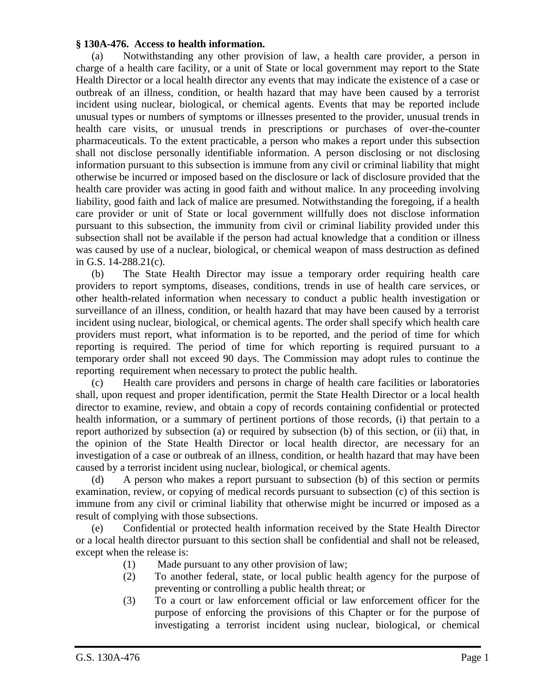## **§ 130A-476. Access to health information.**

(a) Notwithstanding any other provision of law, a health care provider, a person in charge of a health care facility, or a unit of State or local government may report to the State Health Director or a local health director any events that may indicate the existence of a case or outbreak of an illness, condition, or health hazard that may have been caused by a terrorist incident using nuclear, biological, or chemical agents. Events that may be reported include unusual types or numbers of symptoms or illnesses presented to the provider, unusual trends in health care visits, or unusual trends in prescriptions or purchases of over-the-counter pharmaceuticals. To the extent practicable, a person who makes a report under this subsection shall not disclose personally identifiable information. A person disclosing or not disclosing information pursuant to this subsection is immune from any civil or criminal liability that might otherwise be incurred or imposed based on the disclosure or lack of disclosure provided that the health care provider was acting in good faith and without malice. In any proceeding involving liability, good faith and lack of malice are presumed. Notwithstanding the foregoing, if a health care provider or unit of State or local government willfully does not disclose information pursuant to this subsection, the immunity from civil or criminal liability provided under this subsection shall not be available if the person had actual knowledge that a condition or illness was caused by use of a nuclear, biological, or chemical weapon of mass destruction as defined in G.S. 14-288.21(c).

(b) The State Health Director may issue a temporary order requiring health care providers to report symptoms, diseases, conditions, trends in use of health care services, or other health-related information when necessary to conduct a public health investigation or surveillance of an illness, condition, or health hazard that may have been caused by a terrorist incident using nuclear, biological, or chemical agents. The order shall specify which health care providers must report, what information is to be reported, and the period of time for which reporting is required. The period of time for which reporting is required pursuant to a temporary order shall not exceed 90 days. The Commission may adopt rules to continue the reporting requirement when necessary to protect the public health.

(c) Health care providers and persons in charge of health care facilities or laboratories shall, upon request and proper identification, permit the State Health Director or a local health director to examine, review, and obtain a copy of records containing confidential or protected health information, or a summary of pertinent portions of those records, (i) that pertain to a report authorized by subsection (a) or required by subsection (b) of this section, or (ii) that, in the opinion of the State Health Director or local health director, are necessary for an investigation of a case or outbreak of an illness, condition, or health hazard that may have been caused by a terrorist incident using nuclear, biological, or chemical agents.

(d) A person who makes a report pursuant to subsection (b) of this section or permits examination, review, or copying of medical records pursuant to subsection (c) of this section is immune from any civil or criminal liability that otherwise might be incurred or imposed as a result of complying with those subsections.

(e) Confidential or protected health information received by the State Health Director or a local health director pursuant to this section shall be confidential and shall not be released, except when the release is:

- (1) Made pursuant to any other provision of law;
- (2) To another federal, state, or local public health agency for the purpose of preventing or controlling a public health threat; or
- (3) To a court or law enforcement official or law enforcement officer for the purpose of enforcing the provisions of this Chapter or for the purpose of investigating a terrorist incident using nuclear, biological, or chemical